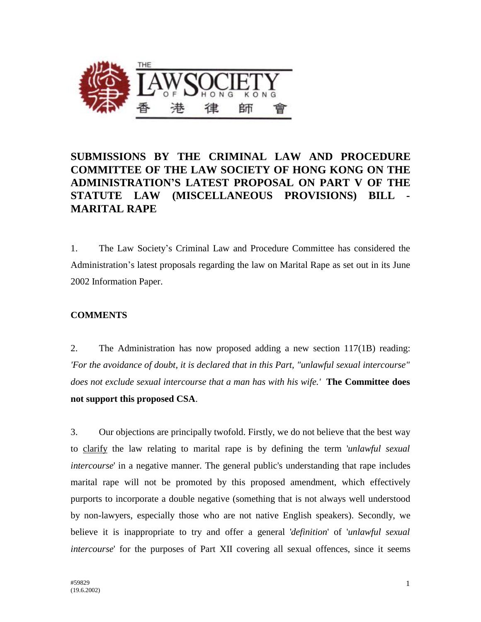

## **SUBMISSIONS BY THE CRIMINAL LAW AND PROCEDURE COMMITTEE OF THE LAW SOCIETY OF HONG KONG ON THE ADMINISTRATION'S LATEST PROPOSAL ON PART V OF THE STATUTE LAW (MISCELLANEOUS PROVISIONS) BILL - MARITAL RAPE**

1. The Law Society's Criminal Law and Procedure Committee has considered the Administration's latest proposals regarding the law on Marital Rape as set out in its June 2002 Information Paper.

## **COMMENTS**

2. The Administration has now proposed adding a new section 117(1B) reading: *'For the avoidance of doubt, it is declared that in this Part, "unlawful sexual intercourse" does not exclude sexual intercourse that a man has with his wife.'* **The Committee does not support this proposed CSA**.

3. Our objections are principally twofold. Firstly, we do not believe that the best way to clarify the law relating to marital rape is by defining the term '*unlawful sexual intercourse*' in a negative manner. The general public's understanding that rape includes marital rape will not be promoted by this proposed amendment, which effectively purports to incorporate a double negative (something that is not always well understood by non-lawyers, especially those who are not native English speakers). Secondly, we believe it is inappropriate to try and offer a general '*definition*' of '*unlawful sexual intercourse*' for the purposes of Part XII covering all sexual offences, since it seems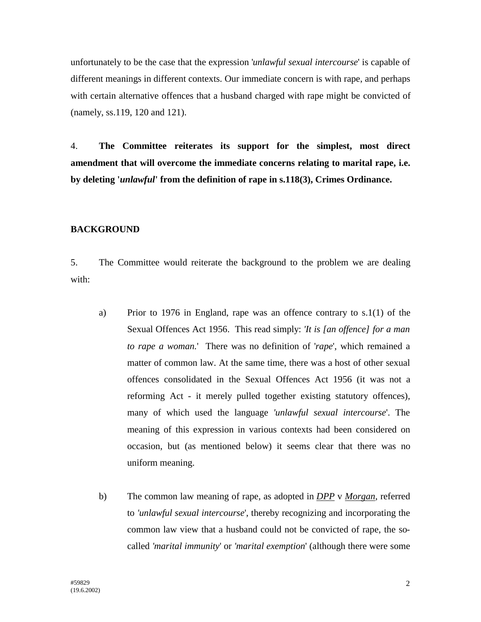unfortunately to be the case that the expression '*unlawful sexual intercourse*' is capable of different meanings in different contexts. Our immediate concern is with rape, and perhaps with certain alternative offences that a husband charged with rape might be convicted of (namely, ss.119, 120 and 121).

4. **The Committee reiterates its support for the simplest, most direct amendment that will overcome the immediate concerns relating to marital rape, i.e. by deleting '***unlawful***' from the definition of rape in s.118(3), Crimes Ordinance.**

## **BACKGROUND**

5. The Committee would reiterate the background to the problem we are dealing with:

- a) Prior to 1976 in England, rape was an offence contrary to s.1(1) of the Sexual Offences Act 1956. This read simply: *'It is [an offence] for a man to rape a woman.*' There was no definition of '*rape*', which remained a matter of common law. At the same time, there was a host of other sexual offences consolidated in the Sexual Offences Act 1956 (it was not a reforming Act - it merely pulled together existing statutory offences), many of which used the language *'unlawful sexual intercourse*'. The meaning of this expression in various contexts had been considered on occasion, but (as mentioned below) it seems clear that there was no uniform meaning.
- b) The common law meaning of rape, as adopted in *DPP* v *Morgan*, referred to *'unlawful sexual intercourse*', thereby recognizing and incorporating the common law view that a husband could not be convicted of rape, the socalled *'marital immunity*' or *'marital exemption*' (although there were some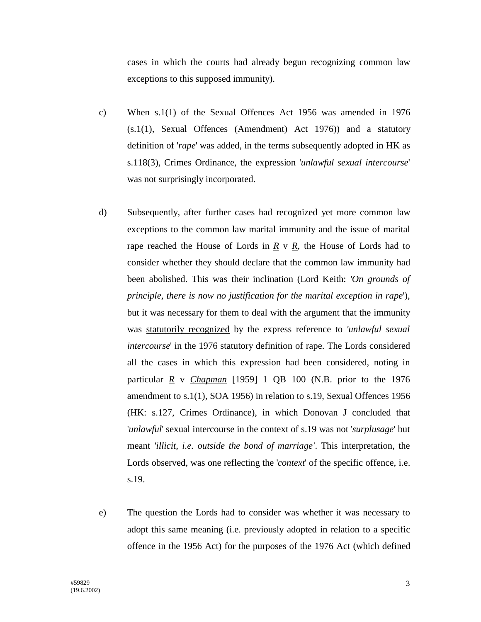cases in which the courts had already begun recognizing common law exceptions to this supposed immunity).

- c) When s.1(1) of the Sexual Offences Act 1956 was amended in 1976 (s.1(1), Sexual Offences (Amendment) Act 1976)) and a statutory definition of '*rape*' was added, in the terms subsequently adopted in HK as s.118(3), Crimes Ordinance, the expression '*unlawful sexual intercourse*' was not surprisingly incorporated.
- d) Subsequently, after further cases had recognized yet more common law exceptions to the common law marital immunity and the issue of marital rape reached the House of Lords in  $\underline{R}$  v  $\underline{R}$ , the House of Lords had to consider whether they should declare that the common law immunity had been abolished. This was their inclination (Lord Keith: *'On grounds of principle, there is now no justification for the marital exception in rape*'), but it was necessary for them to deal with the argument that the immunity was statutorily recognized by the express reference to *'unlawful sexual intercourse*' in the 1976 statutory definition of rape. The Lords considered all the cases in which this expression had been considered, noting in particular *R* v *Chapman* [1959] 1 QB 100 (N.B. prior to the 1976 amendment to s.1(1), SOA 1956) in relation to s.19, Sexual Offences 1956 (HK: s.127, Crimes Ordinance), in which Donovan J concluded that '*unlawful*' sexual intercourse in the context of s.19 was not '*surplusage*' but meant *'illicit, i.e. outside the bond of marriage'*. This interpretation, the Lords observed, was one reflecting the '*context*' of the specific offence, i.e. s.19.
- e) The question the Lords had to consider was whether it was necessary to adopt this same meaning (i.e. previously adopted in relation to a specific offence in the 1956 Act) for the purposes of the 1976 Act (which defined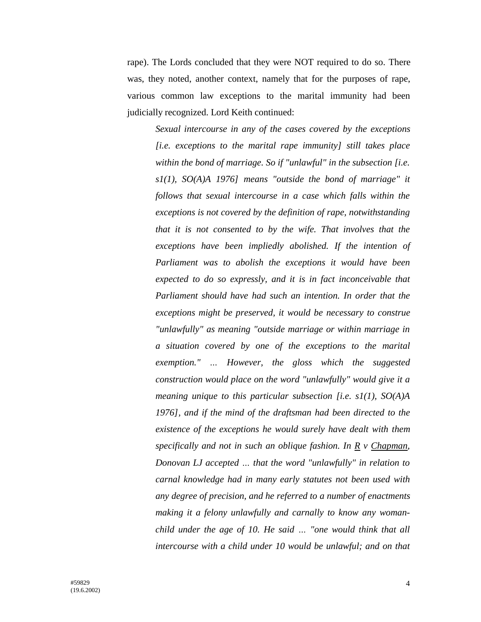rape). The Lords concluded that they were NOT required to do so. There was, they noted, another context, namely that for the purposes of rape, various common law exceptions to the marital immunity had been judicially recognized. Lord Keith continued:

*Sexual intercourse in any of the cases covered by the exceptions [i.e. exceptions to the marital rape immunity] still takes place within the bond of marriage. So if "unlawful" in the subsection [i.e. s1(1), SO(A)A 1976] means "outside the bond of marriage" it follows that sexual intercourse in a case which falls within the exceptions is not covered by the definition of rape, notwithstanding that it is not consented to by the wife. That involves that the exceptions have been impliedly abolished. If the intention of Parliament was to abolish the exceptions it would have been expected to do so expressly, and it is in fact inconceivable that Parliament should have had such an intention. In order that the exceptions might be preserved, it would be necessary to construe "unlawfully" as meaning "outside marriage or within marriage in a situation covered by one of the exceptions to the marital exemption." … However, the gloss which the suggested construction would place on the word "unlawfully" would give it a meaning unique to this particular subsection [i.e. s1(1), SO(A)A 1976], and if the mind of the draftsman had been directed to the existence of the exceptions he would surely have dealt with them specifically and not in such an oblique fashion. In R v Chapman, Donovan LJ accepted … that the word "unlawfully" in relation to carnal knowledge had in many early statutes not been used with any degree of precision, and he referred to a number of enactments making it a felony unlawfully and carnally to know any womanchild under the age of 10. He said … "one would think that all intercourse with a child under 10 would be unlawful; and on that*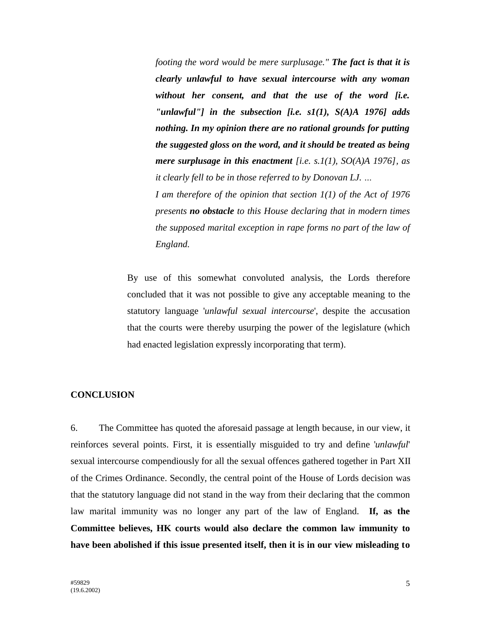*footing the word would be mere surplusage." The fact is that it is clearly unlawful to have sexual intercourse with any woman without her consent, and that the use of the word [i.e. "unlawful"] in the subsection [i.e. s1(1), S(A)A 1976] adds nothing. In my opinion there are no rational grounds for putting the suggested gloss on the word, and it should be treated as being mere surplusage in this enactment [i.e. s.1(1), SO(A)A 1976], as it clearly fell to be in those referred to by Donovan LJ. …*

*I am therefore of the opinion that section 1(1) of the Act of 1976 presents no obstacle to this House declaring that in modern times the supposed marital exception in rape forms no part of the law of England.*

By use of this somewhat convoluted analysis, the Lords therefore concluded that it was not possible to give any acceptable meaning to the statutory language '*unlawful sexual intercourse*', despite the accusation that the courts were thereby usurping the power of the legislature (which had enacted legislation expressly incorporating that term).

## **CONCLUSION**

6. The Committee has quoted the aforesaid passage at length because, in our view, it reinforces several points. First, it is essentially misguided to try and define '*unlawful*' sexual intercourse compendiously for all the sexual offences gathered together in Part XII of the Crimes Ordinance. Secondly, the central point of the House of Lords decision was that the statutory language did not stand in the way from their declaring that the common law marital immunity was no longer any part of the law of England. **If, as the Committee believes, HK courts would also declare the common law immunity to have been abolished if this issue presented itself, then it is in our view misleading to**